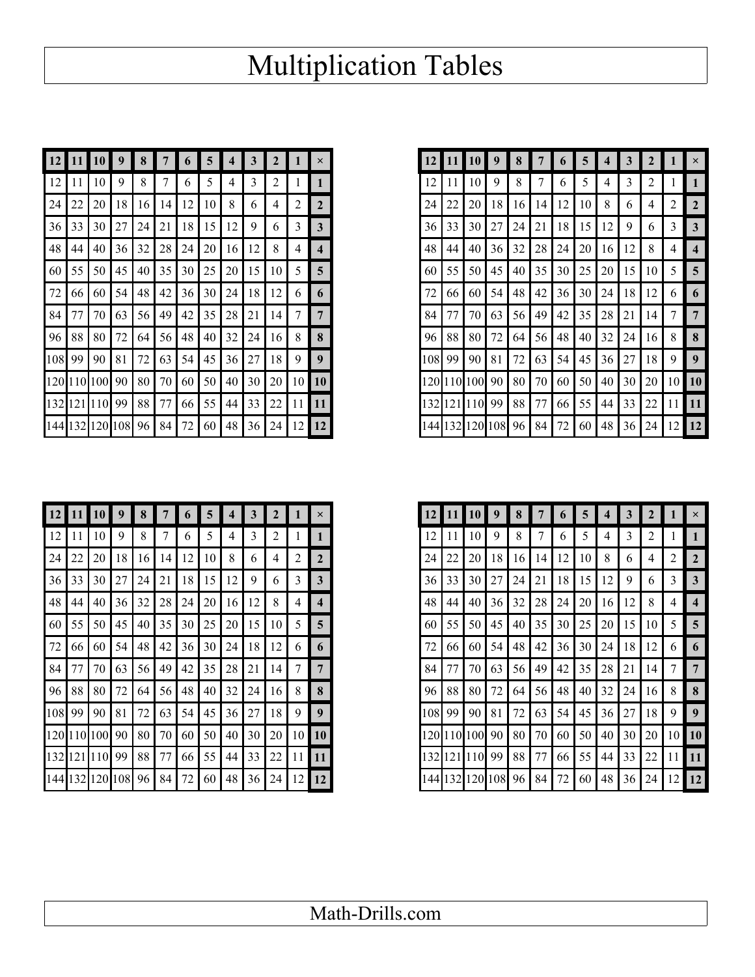## Multiplication Tables

|    |                       | <b>10</b>       | 9  | 8               | 7       | 6               | $\overline{5}$ | 4               | 3  | $\overline{2}$ |                 | ×              |
|----|-----------------------|-----------------|----|-----------------|---------|-----------------|----------------|-----------------|----|----------------|-----------------|----------------|
| 12 | 11                    | 10 <sup>1</sup> | 9  | 8               | 7       | 6               | 5              | 4               | 3  | 2              |                 |                |
| 24 | 22                    | 20              | 18 | 16 <sup>1</sup> | 14      | 12 <sub>1</sub> | 10             | 8               | 6  | $\overline{4}$ | 2               | 2              |
| 36 | 33                    | 30              | 27 | 24              | 21      |                 | $18$   15      | 12              | 9  | 6              | 3               | 3              |
| 48 | 44                    | 40              | 36 | 32              | 28      | 24              | 20             | 16 <sup>1</sup> | 12 | 8              | 4               | 4              |
| 60 | 55                    | 50 l            | 45 | 40              | 35      | 30 <sup>1</sup> | 25             | 20              | 15 | 10             | 5               | 5 <sup>5</sup> |
| 72 | 66                    | 60              | 54 | 48              | 42      | 36              | 30             | 24              | 18 | 12             | 6               | 6              |
| 84 | 77                    | 70 I            | 63 | 56 I            | 49      | 42              | 35             | 28              | 21 | 14 I           | 7               | $\overline{7}$ |
| 96 | 88                    | 80 l            | 72 | 64 l            | 56      | 48              | 40             | 32              | 24 | 16             | 8               | 8              |
|    | 108 99                | 90              | 81 | 72              | 63      | 54              | 45             | 36              | 27 | 18 I           | 9               | 9              |
|    | 12011101100190        |                 |    | 80              | 70 I    | 60 l            | 50             | 40              | 30 | 20             | 10 <sup>1</sup> | <b>10</b>      |
|    | 132 121 110 99        |                 |    |                 | 88   77 | 66              | 55             | 44              | 33 | 22             | 11              | <b>11</b>      |
|    | 144 132 120 108 96 84 |                 |    |                 |         | 72              | 60             | 48              | 36 | 24             |                 | $12$ 12        |

| 12 |                                | 10              |    | 8  |                  | $\mathbf{r}$ | 5  | 4  | 3  | $\overline{2}$ |                 | ×                       |
|----|--------------------------------|-----------------|----|----|------------------|--------------|----|----|----|----------------|-----------------|-------------------------|
| 12 |                                | 10 <sup>1</sup> | 9  | 8  |                  | 6            | 5  | 4  | 3  | 2              |                 |                         |
| 24 | 22                             | 20              | 18 | 16 | 14 <sup>1</sup>  | 12           | 10 | 8  | 6  | $\overline{4}$ | 2               | $\overline{2}$          |
| 36 | 33                             | 30              | 27 | 24 | 21               | 18           | 15 | 12 | 9  | 6              | 3               | 3                       |
| 48 | 44                             | 40              | 36 | 32 | 28               | 24           | 20 | 16 | 12 | 8              | 4               | $\overline{\mathbf{4}}$ |
| 60 | 55                             | 50              | 45 | 40 | 35               | 30           | 25 | 20 | 15 | 10             | 5               | $\overline{5}$          |
| 72 | 66 I                           | 60              | 54 | 48 | 42               | 36           | 30 | 24 | 18 | 12             | 6               | 6                       |
| 84 |                                | 70              | 63 | 56 | 49               | 42           | 35 | 28 | 21 | 14             |                 | $\overline{7}$          |
| 96 | 88                             | 80              | 72 | 64 | 56               | 48           | 40 | 32 | 24 | 16             | 8               | 8                       |
|    | 108 99                         | 90 l            | 81 | 72 | 63               | 54           | 45 | 36 | 27 | 18             | 9               | 9                       |
|    | 120 110 100 90                 |                 |    | 80 | $\vert 70 \vert$ | 60           | 50 | 40 | 30 | 20             | 10 I            | 10                      |
|    | 132 121 110 99                 |                 |    | 88 | 77               | 66           | 55 | 44 | 33 | 22             | 11 <sup>1</sup> | 11                      |
|    | 144  132  120  108  96  84  72 |                 |    |    |                  |              | 60 | 48 | 36 | 24             | 12              | 12                      |

| 12 <sup>1</sup> |                    | $11$   $10$      | 9  | 8  |    | 6    | 5 <sup>1</sup> | $\overline{4}$ | 3  | $\overline{2}$ |                 | $\times$        |
|-----------------|--------------------|------------------|----|----|----|------|----------------|----------------|----|----------------|-----------------|-----------------|
| 12              |                    | 10               | 9  | 8  |    | 6    | 5              | 4              | 3  | 2              |                 |                 |
| 24              | 22                 | 20               | 18 | 16 | 14 | 12   | 10             | 8              | 6  | 4              | $\overline{2}$  | $\mathbf{2}$    |
| 36              | 33                 | 30 <sup>1</sup>  | 27 | 24 | 21 | 18   | 15             | 12             | 9  | 6              | 3               | 3               |
| 48              | 44                 | 40               | 36 | 32 | 28 | 24   | 20             | 16             | 12 | 8              | $\overline{4}$  | 4               |
| 60              | 55                 | 50 <sup>1</sup>  | 45 | 40 | 35 | 30   | 25             | 20             | 15 | 10             | 5               | $5\overline{)}$ |
| 72              | 66                 | 60 l             | 54 | 48 | 42 | 36   | 30             | 24             | 18 | 12             | 6               | 6               |
| 84              | 77                 | 70               | 63 | 56 | 49 | 42   | 35             | 28             | 21 | 14             | 7               |                 |
| 96              | 88                 | 80               | 72 | 64 | 56 | 48   | 40             | 32             | 24 | 16             | 8               | 8               |
|                 | 108 99             | 190 <sup>1</sup> | 81 | 72 | 63 | 54 l | 45             | 36             | 27 | 18             | 9               | 9               |
|                 | 120 110 100 90     |                  |    | 80 | 70 | 60   | 50             | 40             | 30 | 20             | 10 <sup>1</sup> | <b>10</b>       |
|                 | 132 121 110 99     |                  |    | 88 | 77 | 66   | 55             | 44             | 33 | 22             | 11 I            | 11              |
|                 | 144 132 120 108 96 |                  |    |    | 84 | 72   | 60             | 48             | 36 | 24             | 12 <sup>1</sup> | 12              |

| 12  | 11  | 10  | 9   | 8  | 7  | 6  | 5  | 4  | 3  | $\mathbf{2}$ | 1              | $\times$                |
|-----|-----|-----|-----|----|----|----|----|----|----|--------------|----------------|-------------------------|
|     |     |     |     |    |    |    |    |    |    |              |                |                         |
| 12  | 11  | 10  | 9   | 8  | 7  | 6  | 5  | 4  | 3  | 2            | 1              | $\mathbf{1}$            |
| 24  | 22  | 20  | 18  | 16 | 14 | 12 | 10 | 8  | 6  | 4            | $\overline{2}$ | $\mathbf{2}$            |
| 36  | 33  | 30  | 27  | 24 | 21 | 18 | 15 | 12 | 9  | 6            | 3              | $\mathbf{3}$            |
| 48  | 44  | 40  | 36  | 32 | 28 | 24 | 20 | 16 | 12 | 8            | 4              | $\overline{\mathbf{4}}$ |
| 60  | 55  | 50  | 45  | 40 | 35 | 30 | 25 | 20 | 15 | 10           | 5              | 5                       |
| 72  | 66  | 60  | 54  | 48 | 42 | 36 | 30 | 24 | 18 | 12           | 6              | 6                       |
| 84  | 77  | 70  | 63  | 56 | 49 | 42 | 35 | 28 | 21 | 14           | 7              | 7                       |
| 96  | 88  | 80  | 72  | 64 | 56 | 48 | 40 | 32 | 24 | 16           | 8              | 8                       |
| 108 | 99  | 90  | 81  | 72 | 63 | 54 | 45 | 36 | 27 | 18           | 9              | 9                       |
| 120 | 110 | 100 | 90  | 80 | 70 | 60 | 50 | 40 | 30 | 20           | 10             | 10                      |
| 132 | 121 | 110 | 99  | 88 | 77 | 66 | 55 | 44 | 33 | 22           | 11             | 11                      |
| 144 | 132 | 120 | 108 | 96 | 84 | 72 | 60 | 48 | 36 | 24           | 12             | 12                      |